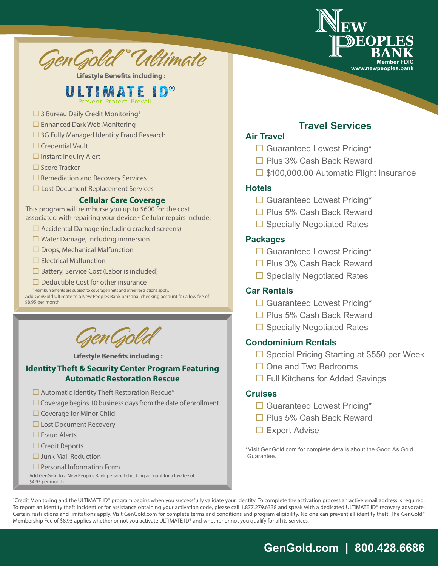



**Lifestyle Benefits including :**

# **ULTIMATE**

- $\Box$  3 Bureau Daily Credit Monitoring<sup>1</sup>
- $\Box$  Enhanced Dark Web Monitoring
- $\Box$  3G Fully Managed Identity Fraud Research
- $\Box$  Credential Vault
- $\Box$  Instant Inquiry Alert
- $\Box$  Score Tracker
- $\Box$  Remediation and Recovery Services
- $\Box$  Lost Document Replacement Services

#### **Cellular Care Coverage**

This program will reimburse you up to \$600 for the cost associated with repairing your device.<sup>2</sup> Cellular repairs include:

- $\Box$  Accidental Damage (including cracked screens)
- $\Box$  Water Damage, including immersion
- $\Box$  Drops, Mechanical Malfunction
- $\Box$  Electrical Malfunction
- $\Box$  Battery, Service Cost (Labor is included)
- $\Box$  Deductible Cost for other insurance  $\Omega$  Reimbursements are subject to coverage limits and other restrictions apply.

Add GenGold Ultimate to a New Peoples Bank personal checking account for a low fee of \$8.95 per month.



 **Lifestyle Benefits including :**

#### **Identity Theft & Security Center Program Featuring Automatic Restoration Rescue**

- $\Box$  Automatic Identity Theft Restoration Rescue®
- $\Box$  Coverage begins 10 business days from the date of enrollment
- $\Box$  Coverage for Minor Child
- $\Box$  Lost Document Recovery
- $\Box$  Fraud Alerts
- $\Box$  Credit Reports
- $\Box$  Junk Mail Reduction
- $\Box$  Personal Information Form

Add GenGold to a New Peoples Bank personal checking account for a low fee of \$4.95 per month.

#### **Travel Services Air Travel**

- $\Box$  Guaranteed Lowest Pricing\*
- $\Box$  Plus 3% Cash Back Reward
- $\Box$  \$100,000.00 Automatic Flight Insurance

#### **Hotels**

- $\Box$  Guaranteed Lowest Pricing\*
- $\Box$  Plus 5% Cash Back Reward
- $\Box$  Specially Negotiated Rates

#### **Packages**

- $\Box$  Guaranteed Lowest Pricing\*
- $\Box$  Plus 3% Cash Back Reward
- $\Box$  Specially Negotiated Rates

#### **Car Rentals**

- $\Box$  Guaranteed Lowest Pricing\*
- $\Box$  Plus 5% Cash Back Reward
- $\Box$  Specially Negotiated Rates

#### **Condominium Rentals**

- $\Box$  Special Pricing Starting at \$550 per Week
- $\Box$  One and Two Bedrooms
- $\Box$  Full Kitchens for Added Savings

#### **Cruises**

- $\Box$  Guaranteed Lowest Pricing\*
- $\Box$  Plus 5% Cash Back Reward
- $\Box$  Expert Advise

\*Visit GenGold.com for complete details about the Good As Gold Guarantee.

<sup>1</sup>Credit Monitoring and the ULTIMATE ID® program begins when you successfully validate your identity. To complete the activation process an active email address is required. To report an identity theft incident or for assistance obtaining your activation code, please call 1.877.279.6338 and speak with a dedicated ULTIMATE ID® recovery advocate. Certain restrictions and limitations apply. Visit GenGold.com for complete terms and conditions and program eligibility. No one can prevent all identity theft. The GenGold® Membership Fee of \$8.95 applies whether or not you activate ULTIMATE ID® and whether or not you qualify for all its services.

# **GenGold.com | 800.428.6686**